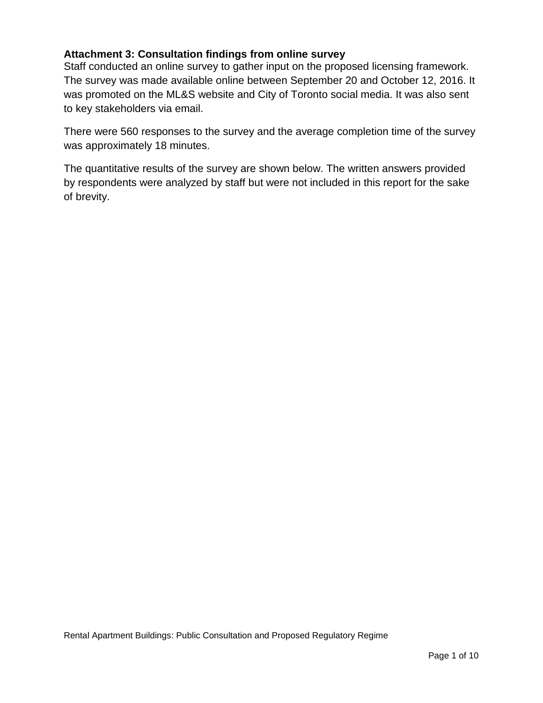#### **Attachment 3: Consultation findings from online survey**

Staff conducted an online survey to gather input on the proposed licensing framework. The survey was made available online between September 20 and October 12, 2016. It was promoted on the ML&S website and City of Toronto social media. It was also sent to key stakeholders via email.

There were 560 responses to the survey and the average completion time of the survey was approximately 18 minutes.

The quantitative results of the survey are shown below. The written answers provided by respondents were analyzed by staff but were not included in this report for the sake of brevity.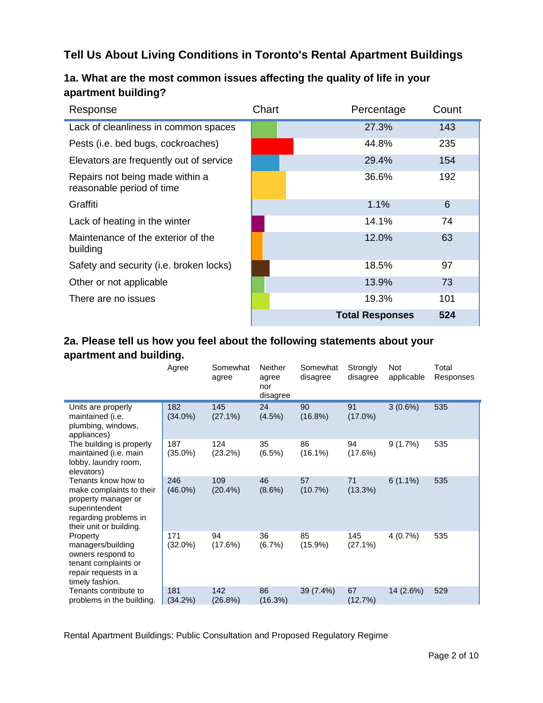## **Tell Us About Living Conditions in Toronto's Rental Apartment Buildings**

### **1a. What are the most common issues affecting the quality of life in your apartment building?**

| Response                                                     | Chart | Percentage             | Count |
|--------------------------------------------------------------|-------|------------------------|-------|
| Lack of cleanliness in common spaces                         |       | 27.3%                  | 143   |
| Pests (i.e. bed bugs, cockroaches)                           |       | 44.8%                  | 235   |
| Elevators are frequently out of service                      |       | 29.4%                  | 154   |
| Repairs not being made within a<br>reasonable period of time |       | 36.6%                  | 192   |
| Graffiti                                                     |       | 1.1%                   | 6     |
| Lack of heating in the winter                                |       | 14.1%                  | 74    |
| Maintenance of the exterior of the<br>building               |       | 12.0%                  | 63    |
| Safety and security (i.e. broken locks)                      |       | 18.5%                  | 97    |
| Other or not applicable                                      |       | 13.9%                  | 73    |
| There are no issues                                          |       | 19.3%                  | 101   |
|                                                              |       | <b>Total Responses</b> | 524   |

## **2a. Please tell us how you feel about the following statements about your apartment and building.**

|                                                                                                                                              | Agree             | Somewhat<br>agree | <b>Neither</b><br>agree<br>nor<br>disagree | Somewhat<br>disagree | Strongly<br>disagree | <b>Not</b><br>applicable | Total<br>Responses |
|----------------------------------------------------------------------------------------------------------------------------------------------|-------------------|-------------------|--------------------------------------------|----------------------|----------------------|--------------------------|--------------------|
| Units are properly<br>maintained (i.e.<br>plumbing, windows,<br>appliances)                                                                  | 182<br>$(34.0\%)$ | 145<br>$(27.1\%)$ | 24<br>$(4.5\%)$                            | 90<br>$(16.8\%)$     | 91<br>$(17.0\%)$     | $3(0.6\%)$               | 535                |
| The building is properly<br>maintained (i.e. main<br>lobby, laundry room,<br>elevators)                                                      | 187<br>$(35.0\%)$ | 124<br>(23.2%)    | 35<br>(6.5%)                               | 86<br>$(16.1\%)$     | 94<br>(17.6%)        | 9(1.7%)                  | 535                |
| Tenants know how to<br>make complaints to their<br>property manager or<br>superintendent<br>regarding problems in<br>their unit or building. | 246<br>$(46.0\%)$ | 109<br>$(20.4\%)$ | 46<br>$(8.6\%)$                            | 57<br>(10.7%)        | 71<br>(13.3%)        | $6(1.1\%)$               | 535                |
| Property<br>managers/building<br>owners respond to<br>tenant complaints or<br>repair requests in a<br>timely fashion.                        | 171<br>$(32.0\%)$ | 94<br>(17.6%)     | 36<br>(6.7%)                               | 85<br>$(15.9\%)$     | 145<br>$(27.1\%)$    | 4(0.7%)                  | 535                |
| Tenants contribute to<br>problems in the building.                                                                                           | 181<br>(34.2%)    | 142<br>$(26.8\%)$ | 86<br>(16.3%)                              | 39 (7.4%)            | 67<br>(12.7%)        | 14 (2.6%)                | 529                |

Rental Apartment Buildings: Public Consultation and Proposed Regulatory Regime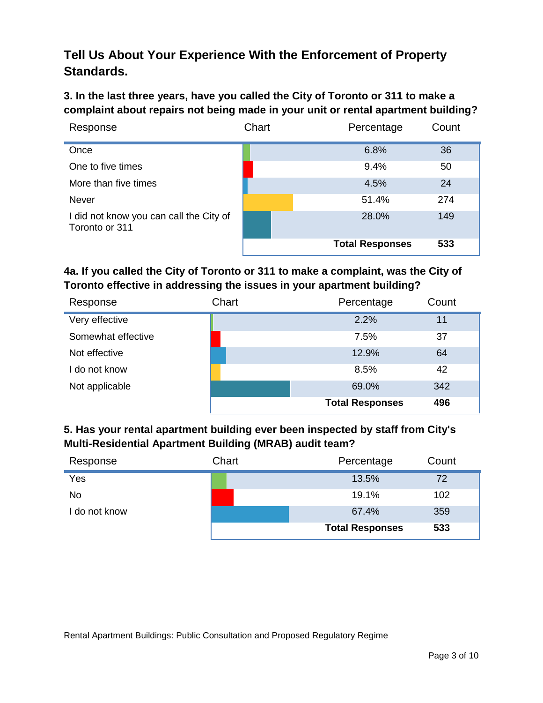# **Tell Us About Your Experience With the Enforcement of Property Standards.**

## **3. In the last three years, have you called the City of Toronto or 311 to make a complaint about repairs not being made in your unit or rental apartment building?**

| Response                                                  | Chart | Percentage             | Count |
|-----------------------------------------------------------|-------|------------------------|-------|
| Once                                                      |       | 6.8%                   | 36    |
| One to five times                                         |       | 9.4%                   | 50    |
| More than five times                                      |       | 4.5%                   | 24    |
| <b>Never</b>                                              |       | 51.4%                  | 274   |
| I did not know you can call the City of<br>Toronto or 311 |       | 28.0%                  | 149   |
|                                                           |       | <b>Total Responses</b> | 533   |

### **4a. If you called the City of Toronto or 311 to make a complaint, was the City of Toronto effective in addressing the issues in your apartment building?**

| Response           | Chart | Percentage             | Count |
|--------------------|-------|------------------------|-------|
| Very effective     |       | 2.2%                   | 11    |
| Somewhat effective |       | 7.5%                   | 37    |
| Not effective      |       | 12.9%                  | 64    |
| l do not know      |       | 8.5%                   | 42    |
| Not applicable     |       | 69.0%                  | 342   |
|                    |       | <b>Total Responses</b> | 496   |

## **5. Has your rental apartment building ever been inspected by staff from City's Multi-Residential Apartment Building (MRAB) audit team?**

| Response      | Chart | Percentage             | Count |
|---------------|-------|------------------------|-------|
| Yes           |       | 13.5%                  | 72    |
| <b>No</b>     |       | 19.1%                  | 102   |
| I do not know |       | 67.4%                  | 359   |
|               |       | <b>Total Responses</b> | 533   |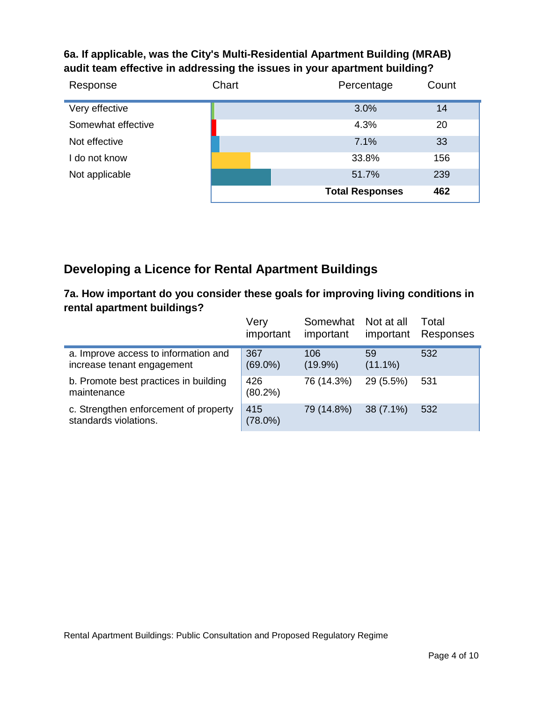### **6a. If applicable, was the City's Multi-Residential Apartment Building (MRAB) audit team effective in addressing the issues in your apartment building?**

| Response           | Chart | Percentage             | Count |
|--------------------|-------|------------------------|-------|
| Very effective     |       | 3.0%                   | 14    |
| Somewhat effective |       | 4.3%                   | 20    |
| Not effective      |       | 7.1%                   | 33    |
| I do not know      |       | 33.8%                  | 156   |
| Not applicable     |       | 51.7%                  | 239   |
|                    |       | <b>Total Responses</b> | 462   |

## **Developing a Licence for Rental Apartment Buildings**

**7a. How important do you consider these goals for improving living conditions in rental apartment buildings?**

|                                                                | Very              | Somewhat   | Not at all  | Total     |
|----------------------------------------------------------------|-------------------|------------|-------------|-----------|
|                                                                | important         | important  | important   | Responses |
| a. Improve access to information and                           | 367               | 106        | 59          | 532       |
| increase tenant engagement                                     | $(69.0\%)$        | $(19.9\%)$ | $(11.1\%)$  |           |
| b. Promote best practices in building<br>maintenance           | 426<br>$(80.2\%)$ | 76 (14.3%) | 29 (5.5%)   | 531       |
| c. Strengthen enforcement of property<br>standards violations. | 415<br>$(78.0\%)$ | 79 (14.8%) | $38(7.1\%)$ | 532       |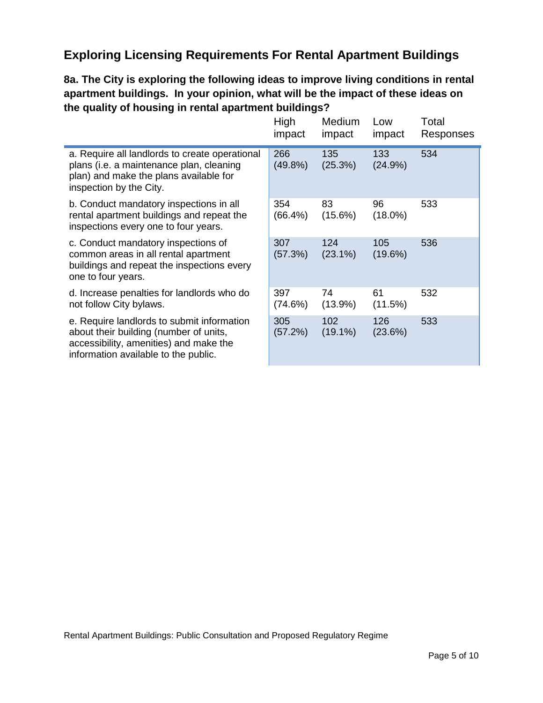## **Exploring Licensing Requirements For Rental Apartment Buildings**

**8a. The City is exploring the following ideas to improve living conditions in rental apartment buildings. In your opinion, what will be the impact of these ideas on the quality of housing in rental apartment buildings?**

|                                                                                                                                                                        | High<br>impact    | Medium<br>impact  | Low<br>impact    | Total<br>Responses |
|------------------------------------------------------------------------------------------------------------------------------------------------------------------------|-------------------|-------------------|------------------|--------------------|
| a. Require all landlords to create operational<br>plans (i.e. a maintenance plan, cleaning<br>plan) and make the plans available for<br>inspection by the City.        | 266<br>$(49.8\%)$ | 135<br>(25.3%)    | 133<br>(24.9%)   | 534                |
| b. Conduct mandatory inspections in all<br>rental apartment buildings and repeat the<br>inspections every one to four years.                                           | 354<br>$(66.4\%)$ | 83<br>$(15.6\%)$  | 96<br>$(18.0\%)$ | 533                |
| c. Conduct mandatory inspections of<br>common areas in all rental apartment<br>buildings and repeat the inspections every<br>one to four years.                        | 307<br>(57.3%)    | 124<br>$(23.1\%)$ | 105<br>(19.6%)   | 536                |
| d. Increase penalties for landlords who do<br>not follow City bylaws.                                                                                                  | 397<br>(74.6%)    | 74<br>$(13.9\%)$  | 61<br>(11.5%)    | 532                |
| e. Require landlords to submit information<br>about their building (number of units,<br>accessibility, amenities) and make the<br>information available to the public. | 305<br>(57.2%)    | 102<br>$(19.1\%)$ | 126<br>(23.6%)   | 533                |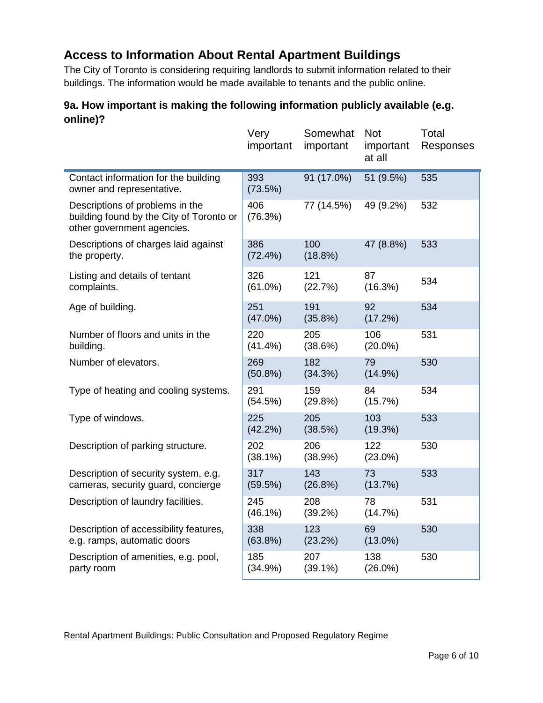## **Access to Information About Rental Apartment Buildings**

The City of Toronto is considering requiring landlords to submit information related to their buildings. The information would be made available to tenants and the public online.

## **9a. How important is making the following information publicly available (e.g. online)?**

|                                                                                                           | Very<br>important | Somewhat<br>important | <b>Not</b><br>important<br>at all | Total<br>Responses |
|-----------------------------------------------------------------------------------------------------------|-------------------|-----------------------|-----------------------------------|--------------------|
| Contact information for the building<br>owner and representative.                                         | 393<br>(73.5%)    | 91 (17.0%)            | 51 (9.5%)                         | 535                |
| Descriptions of problems in the<br>building found by the City of Toronto or<br>other government agencies. | 406<br>(76.3%)    | 77 (14.5%)            | 49 (9.2%)                         | 532                |
| Descriptions of charges laid against<br>the property.                                                     | 386<br>(72.4%)    | 100<br>(18.8%)        | 47 (8.8%)                         | 533                |
| Listing and details of tentant<br>complaints.                                                             | 326<br>$(61.0\%)$ | 121<br>(22.7%)        | 87<br>(16.3%)                     | 534                |
| Age of building.                                                                                          | 251<br>$(47.0\%)$ | 191<br>$(35.8\%)$     | 92<br>(17.2%)                     | 534                |
| Number of floors and units in the<br>building.                                                            | 220<br>$(41.4\%)$ | 205<br>(38.6%)        | 106<br>$(20.0\%)$                 | 531                |
| Number of elevators.                                                                                      | 269<br>(50.8%)    | 182<br>(34.3%)        | 79<br>$(14.9\%)$                  | 530                |
| Type of heating and cooling systems.                                                                      | 291<br>(54.5%)    | 159<br>(29.8%)        | 84<br>(15.7%)                     | 534                |
| Type of windows.                                                                                          | 225<br>(42.2%)    | 205<br>(38.5%)        | 103<br>(19.3%)                    | 533                |
| Description of parking structure.                                                                         | 202<br>$(38.1\%)$ | 206<br>(38.9%)        | 122<br>$(23.0\%)$                 | 530                |
| Description of security system, e.g.<br>cameras, security guard, concierge                                | 317<br>(59.5%)    | 143<br>(26.8%)        | 73<br>(13.7%)                     | 533                |
| Description of laundry facilities.                                                                        | 245<br>$(46.1\%)$ | 208<br>(39.2%)        | 78<br>(14.7%)                     | 531                |
| Description of accessibility features,<br>e.g. ramps, automatic doors                                     | 338<br>$(63.8\%)$ | 123<br>(23.2%)        | 69<br>$(13.0\%)$                  | 530                |
| Description of amenities, e.g. pool,<br>party room                                                        | 185<br>(34.9%)    | 207<br>$(39.1\%)$     | 138<br>$(26.0\%)$                 | 530                |

Rental Apartment Buildings: Public Consultation and Proposed Regulatory Regime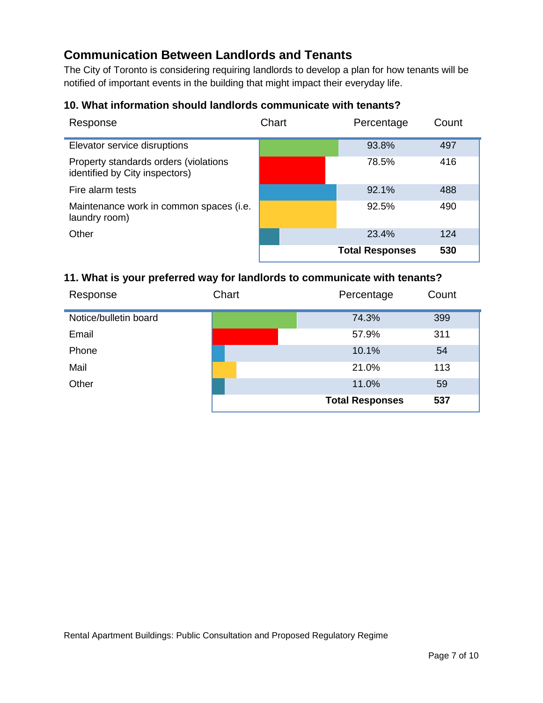## **Communication Between Landlords and Tenants**

The City of Toronto is considering requiring landlords to develop a plan for how tenants will be notified of important events in the building that might impact their everyday life.

#### **10. What information should landlords communicate with tenants?**

| Response                                                                | Chart | Percentage             | Count |
|-------------------------------------------------------------------------|-------|------------------------|-------|
| Elevator service disruptions                                            |       | 93.8%                  | 497   |
| Property standards orders (violations<br>identified by City inspectors) |       | 78.5%                  | 416   |
| Fire alarm tests                                                        |       | 92.1%                  | 488   |
| Maintenance work in common spaces (i.e.<br>laundry room)                |       | 92.5%                  | 490   |
| Other                                                                   |       | 23.4%                  | 124   |
|                                                                         |       | <b>Total Responses</b> | 530   |

#### **11. What is your preferred way for landlords to communicate with tenants?**

| Response              | Chart | Percentage             | Count |
|-----------------------|-------|------------------------|-------|
| Notice/bulletin board |       | 74.3%                  | 399   |
| Email                 |       | 57.9%                  | 311   |
| Phone                 |       | 10.1%                  | 54    |
| Mail                  |       | 21.0%                  | 113   |
| Other                 |       | 11.0%                  | 59    |
|                       |       | <b>Total Responses</b> | 537   |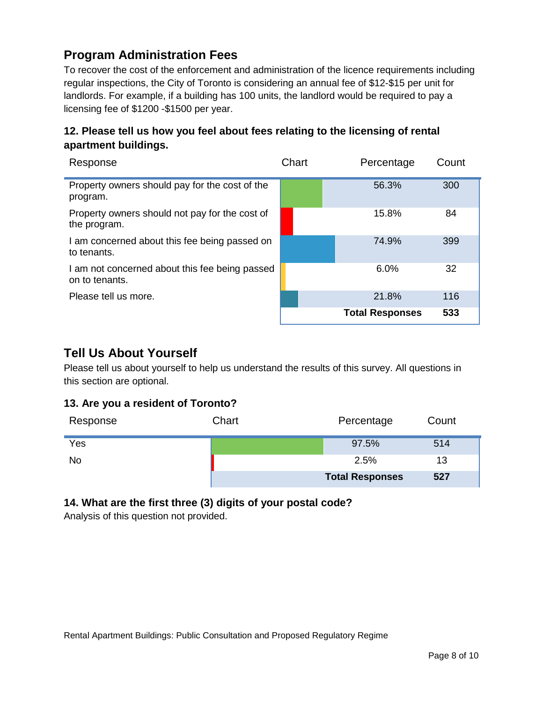## **Program Administration Fees**

To recover the cost of the enforcement and administration of the licence requirements including regular inspections, the City of Toronto is considering an annual fee of \$12-\$15 per unit for landlords. For example, if a building has 100 units, the landlord would be required to pay a licensing fee of \$1200 -\$1500 per year.

### **12. Please tell us how you feel about fees relating to the licensing of rental apartment buildings.**

| Response                                                         | Chart | Percentage             | Count |
|------------------------------------------------------------------|-------|------------------------|-------|
| Property owners should pay for the cost of the<br>program.       |       | 56.3%                  | 300   |
| Property owners should not pay for the cost of<br>the program.   |       | 15.8%                  | 84    |
| I am concerned about this fee being passed on<br>to tenants.     |       | 74.9%                  | 399   |
| I am not concerned about this fee being passed<br>on to tenants. |       | 6.0%                   | 32    |
| Please tell us more.                                             |       | 21.8%                  | 116   |
|                                                                  |       | <b>Total Responses</b> | 533   |

## **Tell Us About Yourself**

Please tell us about yourself to help us understand the results of this survey. All questions in this section are optional.

#### **13. Are you a resident of Toronto?**

| Response | Chart | Percentage             | Count |
|----------|-------|------------------------|-------|
| Yes      |       | 97.5%                  | 514   |
| No       |       | 2.5%                   | 13    |
|          |       | <b>Total Responses</b> | 527   |

## **14. What are the first three (3) digits of your postal code?**

Analysis of this question not provided.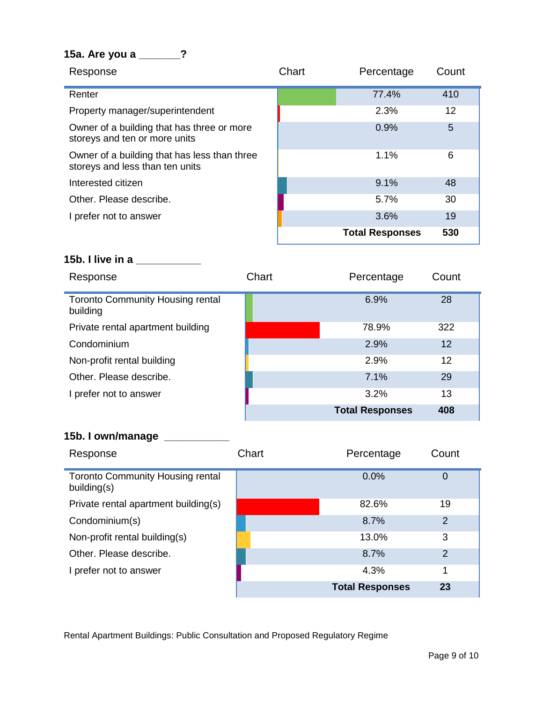## **15a. Are you a \_\_\_\_\_\_\_?**

| Response                                                                        | Chart | Percentage             | Count             |
|---------------------------------------------------------------------------------|-------|------------------------|-------------------|
| Renter                                                                          |       | 77.4%                  | 410               |
| Property manager/superintendent                                                 |       | 2.3%                   | $12 \overline{ }$ |
| Owner of a building that has three or more<br>storeys and ten or more units     |       | 0.9%                   | 5                 |
| Owner of a building that has less than three<br>storeys and less than ten units |       | 1.1%                   | 6                 |
| Interested citizen                                                              |       | 9.1%                   | 48                |
| Other, Please describe.                                                         |       | 5.7%                   | 30                |
| I prefer not to answer                                                          |       | 3.6%                   | 19                |
|                                                                                 |       | <b>Total Responses</b> | 530               |

# **15b. I live in a \_\_\_\_\_\_\_\_\_\_\_**

| Response                                            | Chart | Percentage             | Count |
|-----------------------------------------------------|-------|------------------------|-------|
| <b>Toronto Community Housing rental</b><br>building |       | 6.9%                   | 28    |
| Private rental apartment building                   |       | 78.9%                  | 322   |
| Condominium                                         |       | 2.9%                   | 12    |
| Non-profit rental building                          |       | 2.9%                   | 12    |
| Other, Please describe.                             |       | 7.1%                   | 29    |
| I prefer not to answer                              |       | 3.2%                   | 13    |
|                                                     |       | <b>Total Responses</b> | 408   |

### **15b. I own/manage \_\_\_\_\_\_\_\_\_\_\_**

| Response                                               | Chart | Percentage             | Count          |
|--------------------------------------------------------|-------|------------------------|----------------|
| <b>Toronto Community Housing rental</b><br>building(s) |       | 0.0%                   | $\overline{0}$ |
| Private rental apartment building(s)                   |       | 82.6%                  | 19             |
| Condominium(s)                                         |       | 8.7%                   | 2              |
| Non-profit rental building(s)                          |       | 13.0%                  | 3              |
| Other, Please describe.                                |       | 8.7%                   | 2              |
| I prefer not to answer                                 |       | 4.3%                   | 1              |
|                                                        |       | <b>Total Responses</b> | 23             |

Rental Apartment Buildings: Public Consultation and Proposed Regulatory Regime